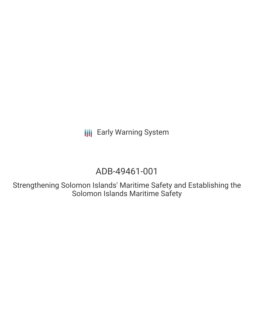# ADB-49461-001

Strengthening Solomon Islands' Maritime Safety and Establishing the Solomon Islands Maritime Safety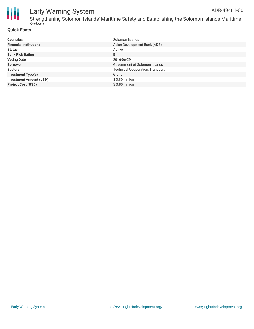

Strengthening Solomon Islands' Maritime Safety and Establishing the Solomon Islands Maritime  $C$ afaty

#### **Quick Facts**

| <b>Countries</b>               | Solomon Islands                         |
|--------------------------------|-----------------------------------------|
| <b>Financial Institutions</b>  | Asian Development Bank (ADB)            |
| <b>Status</b>                  | Active                                  |
| <b>Bank Risk Rating</b>        | B                                       |
| <b>Voting Date</b>             | 2016-06-29                              |
| <b>Borrower</b>                | Government of Solomon Islands           |
| <b>Sectors</b>                 | <b>Technical Cooperation, Transport</b> |
| <b>Investment Type(s)</b>      | Grant                                   |
| <b>Investment Amount (USD)</b> | $$0.80$ million                         |
| <b>Project Cost (USD)</b>      | \$0.80 million                          |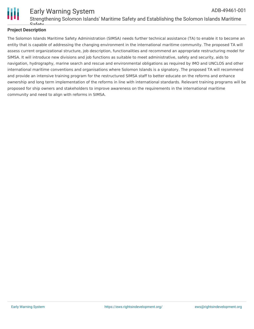

#### Early Warning System Strengthening Solomon Islands' Maritime Safety and Establishing the Solomon Islands Maritime **Safaty** ADB-49461-001

#### **Project Description**

The Solomon Islands Maritime Safety Administration (SIMSA) needs further technical assistance (TA) to enable it to become an entity that is capable of addressing the changing environment in the international maritime community. The proposed TA will assess current organizational structure, job description, functionalities and recommend an appropriate restructuring model for SIMSA. It will introduce new divisions and job functions as suitable to meet administrative, safety and security, aids to navigation, hydrography, marine search and rescue and environmental obligations as required by IMO and UNCLOS and other international maritime conventions and organisations where Solomon Islands is a signatory. The proposed TA will recommend and provide an intensive training program for the restructured SIMSA staff to better educate on the reforms and enhance ownership and long term implementation of the reforms in line with international standards. Relevant training programs will be proposed for ship owners and stakeholders to improve awareness on the requirements in the international maritime community and need to align with reforms in SIMSA.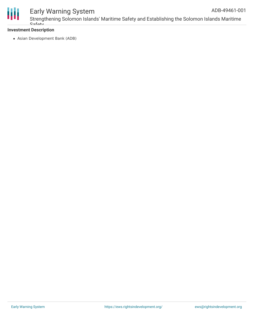

Strengthening Solomon Islands' Maritime Safety and Establishing the Solomon Islands Maritime Cafaty ADB-49461-001

#### **Investment Description**

Asian Development Bank (ADB)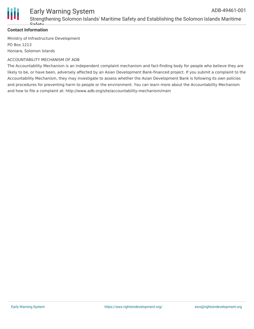

Strengthening Solomon Islands' Maritime Safety and Establishing the Solomon Islands Maritime Cofoty

#### **Contact Information**

Ministry of Infrastructure Development PO Box 1213 Honiara, Solomon Islands

#### ACCOUNTABILITY MECHANISM OF ADB

The Accountability Mechanism is an independent complaint mechanism and fact-finding body for people who believe they are likely to be, or have been, adversely affected by an Asian Development Bank-financed project. If you submit a complaint to the Accountability Mechanism, they may investigate to assess whether the Asian Development Bank is following its own policies and procedures for preventing harm to people or the environment. You can learn more about the Accountability Mechanism and how to file a complaint at: http://www.adb.org/site/accountability-mechanism/main